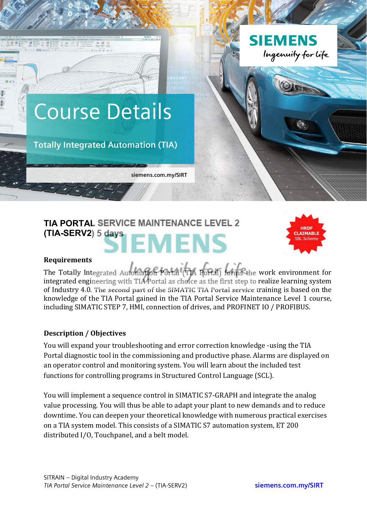

# **TIA PORTAL SERVICE MAINTENANCE LEVEL 2 (TIA-SERV2) 5 days** MENS



#### **Requirements**

The Totally Integrated Automation Portal (TIA Portal) forms the work environment for integrated engineering with TIA Portal as choice as the first step to realize learning system of Industry 4.0. The second part of the SIMATIC TIA Portal service training is based on the knowledge of the TIA Portal gained in the TIA Portal Service Maintenance Level 1 course, including SIMATIC STEP 7, HMI, connection of drives, and PROFINET IO / PROFIBUS.

## **Description / Objectives**

You will expand your troubleshooting and error correction knowledge -using the TIA Portal diagnostic tool in the commissioning and productive phase. Alarms are displayed on an operator control and monitoring system. You will learn about the included test functions for controlling programs in Structured Control Language (SCL).

You will implement a sequence control in SIMATIC S7-GRAPH and integrate the analog value processing. You will thus be able to adapt your plant to new demands and to reduce downtime. You can deepen your theoretical knowledge with numerous practical exercises on a TIA system model. This consists of a SIMATIC S7 automation system, ET 200 distributed I/O, Touchpanel, and a belt model.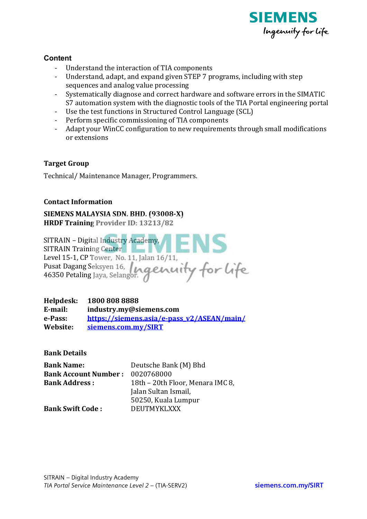

## **Content**

- Understand the interaction of TIA components
- Understand, adapt, and expand given STEP 7 programs, including with step sequences and analog value processing
- Systematically diagnose and correct hardware and software errors in the SIMATIC S7 automation system with the diagnostic tools of the TIA Portal engineering portal
- Use the test functions in Structured Control Language (SCL)
- Perform specific commissioning of TIA components
- Adapt your WinCC configuration to new requirements through small modifications or extensions

## **Target Group**

Technical/Maintenance Manager, Programmers.

## **Contact Information**

SIEMENS MALAYSIA SDN. BHD. (93008-X) HRDF Training Provider ID: 13213/82

| SITRAIN - Digital Industry Academy,        |
|--------------------------------------------|
| <b>SITRAIN Training Center</b>             |
| Level 15-1, CP Tower, No. 11, Jalan 16/11, |
| Pusat Dagang Seksyen 16, La GLAM           |
| 46350 Petaling Jaya, Selangor.             |
|                                            |

Helpdesk: 1800 808 8888 E-mail: industry.my@siemens.com e-Pass: https://siemens.asia/e-pass\_v2/ASEAN/main/ Website: siemens.com.mv/SIRT

**Bank Details** 

| <b>Bank Name:</b>           | Deutsche Bank (M) Bhd            |
|-----------------------------|----------------------------------|
| <b>Bank Account Number:</b> | 0020768000                       |
| <b>Bank Address:</b>        | 18th – 20th Floor, Menara IMC 8, |
|                             | Jalan Sultan Ismail,             |
|                             | 50250, Kuala Lumpur              |
| <b>Bank Swift Code:</b>     | <b>DEUTMYKLXXX</b>               |